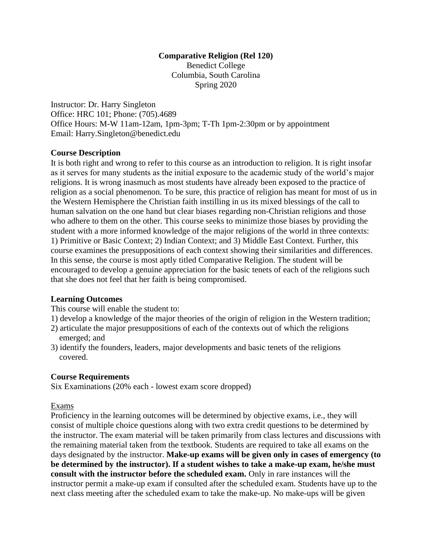# **Comparative Religion (Rel 120)**

Benedict College Columbia, South Carolina Spring 2020

Instructor: Dr. Harry Singleton Office: HRC 101; Phone: (705).4689 Office Hours: M-W 11am-12am, 1pm-3pm; T-Th 1pm-2:30pm or by appointment Email: Harry.Singleton@benedict.edu

### **Course Description**

It is both right and wrong to refer to this course as an introduction to religion. It is right insofar as it serves for many students as the initial exposure to the academic study of the world's major religions. It is wrong inasmuch as most students have already been exposed to the practice of religion as a social phenomenon. To be sure, this practice of religion has meant for most of us in the Western Hemisphere the Christian faith instilling in us its mixed blessings of the call to human salvation on the one hand but clear biases regarding non-Christian religions and those who adhere to them on the other. This course seeks to minimize those biases by providing the student with a more informed knowledge of the major religions of the world in three contexts: 1) Primitive or Basic Context; 2) Indian Context; and 3) Middle East Context. Further, this course examines the presuppositions of each context showing their similarities and differences. In this sense, the course is most aptly titled Comparative Religion. The student will be encouraged to develop a genuine appreciation for the basic tenets of each of the religions such that she does not feel that her faith is being compromised.

# **Learning Outcomes**

This course will enable the student to:

- 1) develop a knowledge of the major theories of the origin of religion in the Western tradition;
- 2) articulate the major presuppositions of each of the contexts out of which the religions emerged; and
- 3) identify the founders, leaders, major developments and basic tenets of the religions covered.

# **Course Requirements**

Six Examinations (20% each - lowest exam score dropped)

# Exams

Proficiency in the learning outcomes will be determined by objective exams, i.e., they will consist of multiple choice questions along with two extra credit questions to be determined by the instructor. The exam material will be taken primarily from class lectures and discussions with the remaining material taken from the textbook. Students are required to take all exams on the days designated by the instructor. **Make-up exams will be given only in cases of emergency (to be determined by the instructor). If a student wishes to take a make-up exam, he/she must consult with the instructor before the scheduled exam.** Only in rare instances will the instructor permit a make-up exam if consulted after the scheduled exam. Students have up to the next class meeting after the scheduled exam to take the make-up. No make-ups will be given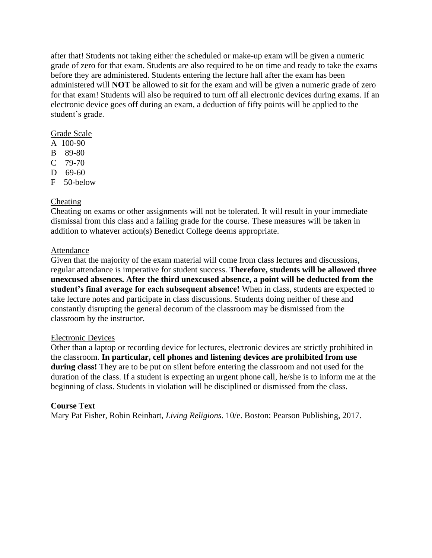after that! Students not taking either the scheduled or make-up exam will be given a numeric grade of zero for that exam. Students are also required to be on time and ready to take the exams before they are administered. Students entering the lecture hall after the exam has been administered will **NOT** be allowed to sit for the exam and will be given a numeric grade of zero for that exam! Students will also be required to turn off all electronic devices during exams. If an electronic device goes off during an exam, a deduction of fifty points will be applied to the student's grade.

### Grade Scale

- A 100-90
- B 89-80
- C 79-70
- D 69-60
- F 50-below

# Cheating

Cheating on exams or other assignments will not be tolerated. It will result in your immediate dismissal from this class and a failing grade for the course. These measures will be taken in addition to whatever action(s) Benedict College deems appropriate.

### Attendance

Given that the majority of the exam material will come from class lectures and discussions, regular attendance is imperative for student success. **Therefore, students will be allowed three unexcused absences. After the third unexcused absence, a point will be deducted from the student's final average for each subsequent absence!** When in class, students are expected to take lecture notes and participate in class discussions. Students doing neither of these and constantly disrupting the general decorum of the classroom may be dismissed from the classroom by the instructor.

### Electronic Devices

Other than a laptop or recording device for lectures, electronic devices are strictly prohibited in the classroom. **In particular, cell phones and listening devices are prohibited from use during class!** They are to be put on silent before entering the classroom and not used for the duration of the class. If a student is expecting an urgent phone call, he/she is to inform me at the beginning of class. Students in violation will be disciplined or dismissed from the class.

# **Course Text**

Mary Pat Fisher, Robin Reinhart, *Living Religions*. 10/e. Boston: Pearson Publishing, 2017.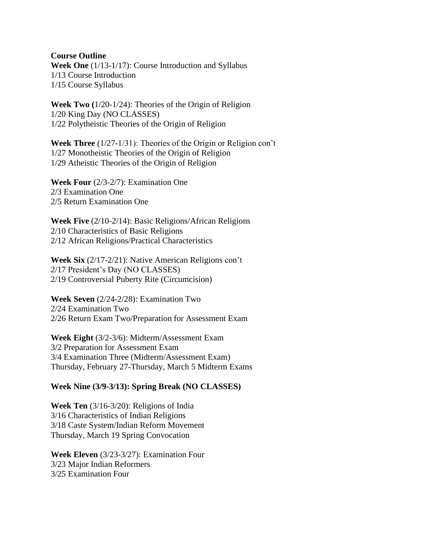**Course Outline**

**Week One** (1/13-1/17): Course Introduction and Syllabus 1/13 Course Introduction 1/15 Course Syllabus

**Week Two (**1/20-1/24): Theories of the Origin of Religion 1/20 King Day (NO CLASSES) 1/22 Polytheistic Theories of the Origin of Religion

**Week Three** (1/27-1/31): Theories of the Origin or Religion con't 1/27 Monotheistic Theories of the Origin of Religion 1/29 Atheistic Theories of the Origin of Religion

**Week Four** (2/3-2/7): Examination One 2/3 Examination One 2/5 Return Examination One

**Week Five** (2/10-2/14): Basic Religions/African Religions 2/10 Characteristics of Basic Religions 2/12 African Religions/Practical Characteristics

**Week Six** (2/17-2/21): Native American Religions con't 2/17 President's Day (NO CLASSES) 2/19 Controversial Puberty Rite (Circumcision)

**Week Seven** (2/24-2/28): Examination Two 2/24 Examination Two 2/26 Return Exam Two/Preparation for Assessment Exam

**Week Eight** (3/2-3/6): Midterm/Assessment Exam 3/2 Preparation for Assessment Exam 3/4 Examination Three (Midterm/Assessment Exam) Thursday, February 27-Thursday, March 5 Midterm Exams

### **Week Nine (3/9-3/13): Spring Break (NO CLASSES)**

**Week Ten** (3/16-3/20): Religions of India 3/16 Characteristics of Indian Religions 3/18 Caste System/Indian Reform Movement Thursday, March 19 Spring Convocation

**Week Eleven** (3/23-3/27): Examination Four 3/23 Major Indian Reformers 3/25 Examination Four